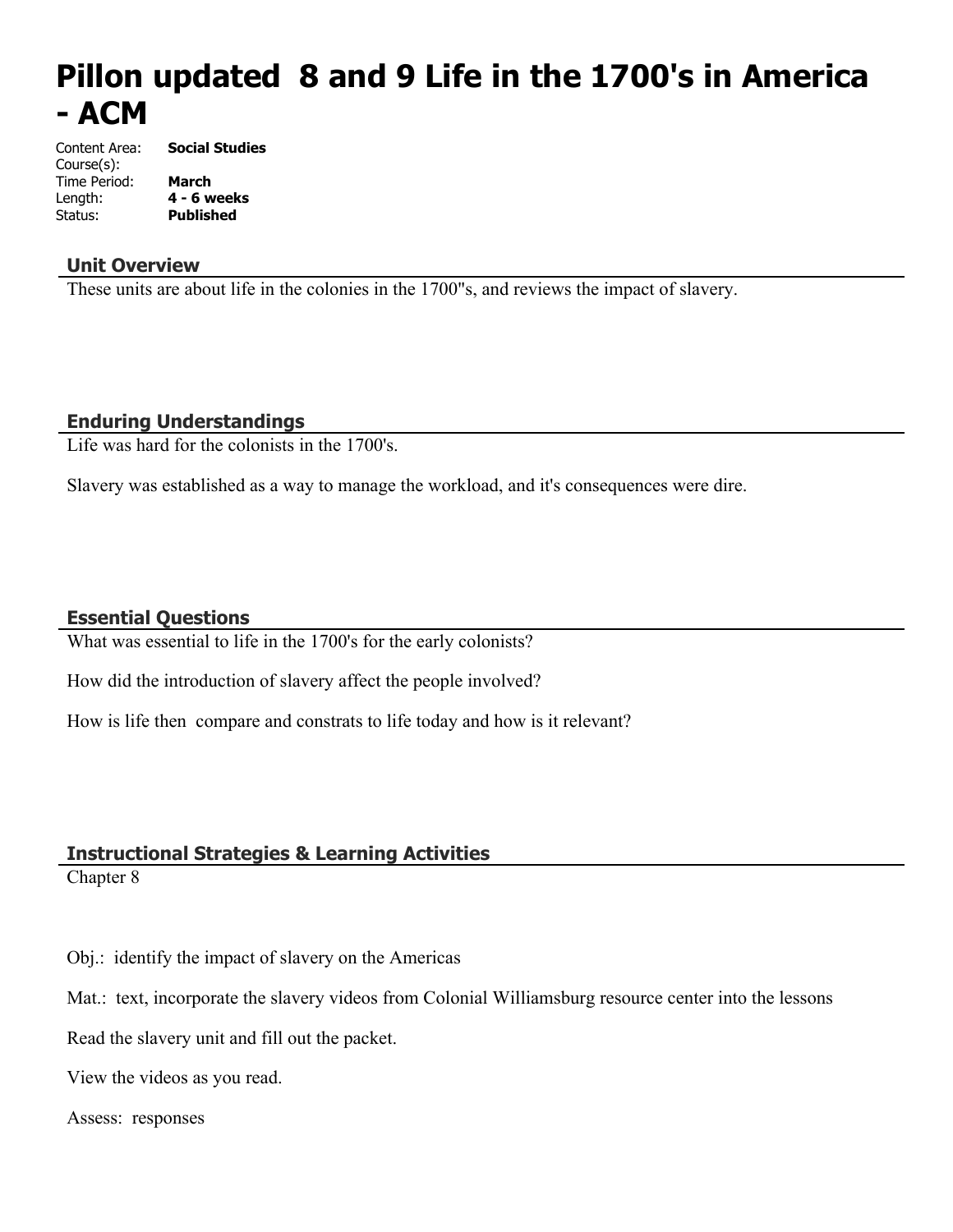# **Pillon updated 8 and 9 Life in the 1700's in America - ACM**

Content Area: **Social Studies** Course(s): Time Period: **March** Length: **4 - 6 weeks** Status: **Published**

## **Unit Overview**

These units are about life in the colonies in the 1700"s, and reviews the impact of slavery.

## **Enduring Understandings**

Life was hard for the colonists in the 1700's.

Slavery was established as a way to manage the workload, and it's consequences were dire.

## **Essential Questions**

What was essential to life in the 1700's for the early colonists?

How did the introduction of slavery affect the people involved?

How is life then compare and constrats to life today and how is it relevant?

## **Instructional Strategies & Learning Activities**

Chapter 8

- Obj.: identify the impact of slavery on the Americas
- Mat.: text, incorporate the slavery videos from Colonial Williamsburg resource center into the lessons

Read the slavery unit and fill out the packet.

View the videos as you read.

#### Assess: responses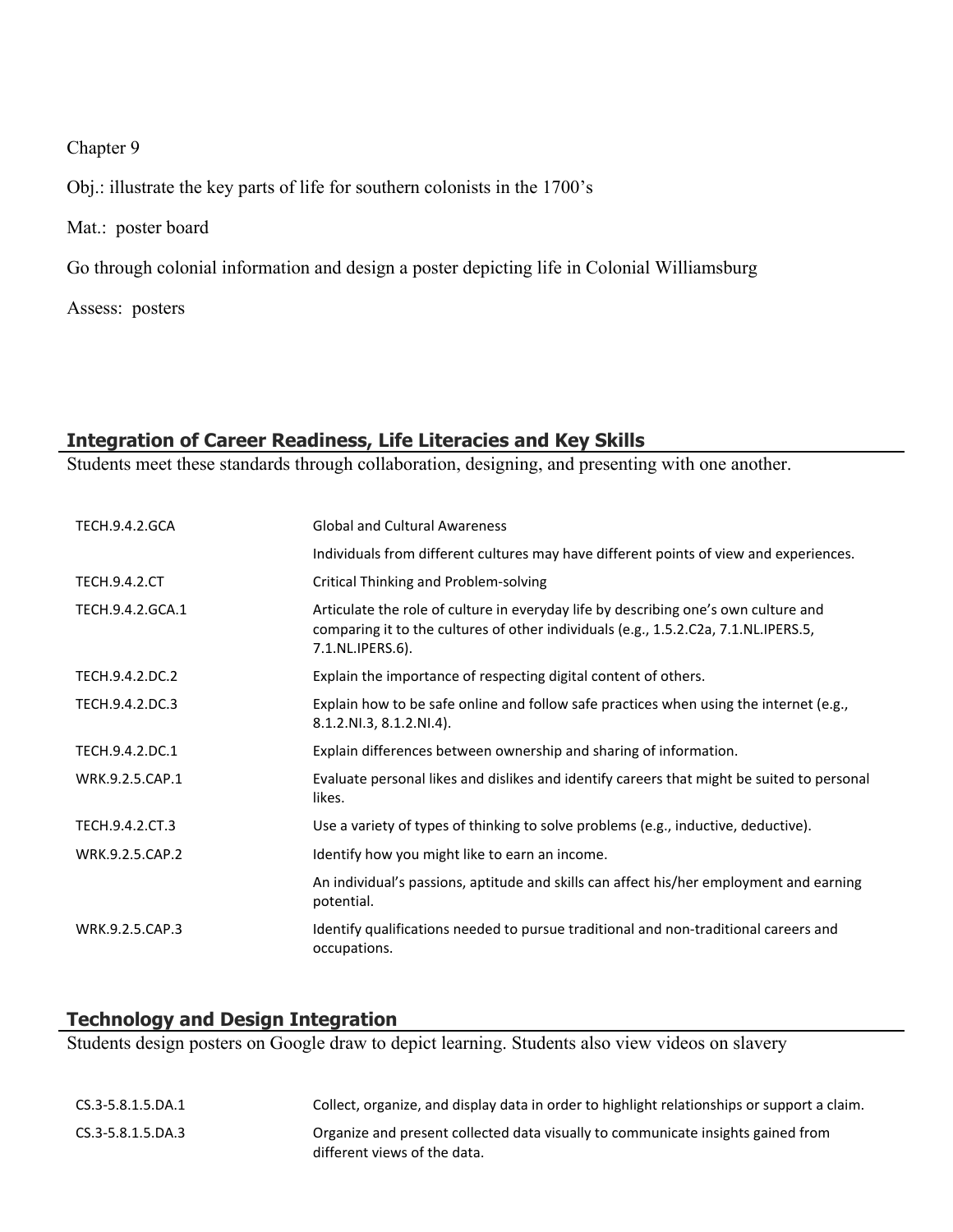## Chapter 9

Obj.: illustrate the key parts of life for southern colonists in the 1700's

Mat.: poster board

Go through colonial information and design a poster depicting life in Colonial Williamsburg

Assess: posters

# **Integration of Career Readiness, Life Literacies and Key Skills**

Students meet these standards through collaboration, designing, and presenting with one another.

| <b>TECH.9.4.2.GCA</b> | <b>Global and Cultural Awareness</b>                                                                                                                                                           |
|-----------------------|------------------------------------------------------------------------------------------------------------------------------------------------------------------------------------------------|
|                       | Individuals from different cultures may have different points of view and experiences.                                                                                                         |
| <b>TECH.9.4.2.CT</b>  | Critical Thinking and Problem-solving                                                                                                                                                          |
| TECH.9.4.2.GCA.1      | Articulate the role of culture in everyday life by describing one's own culture and<br>comparing it to the cultures of other individuals (e.g., 1.5.2.C2a, 7.1.NL.IPERS.5,<br>7.1.NL.IPERS.6). |
| TECH.9.4.2.DC.2       | Explain the importance of respecting digital content of others.                                                                                                                                |
| TECH.9.4.2.DC.3       | Explain how to be safe online and follow safe practices when using the internet (e.g.,<br>8.1.2.NI.3, 8.1.2.NI.4).                                                                             |
| TECH.9.4.2.DC.1       | Explain differences between ownership and sharing of information.                                                                                                                              |
| WRK.9.2.5.CAP.1       | Evaluate personal likes and dislikes and identify careers that might be suited to personal<br>likes.                                                                                           |
| TECH.9.4.2.CT.3       | Use a variety of types of thinking to solve problems (e.g., inductive, deductive).                                                                                                             |
| WRK.9.2.5.CAP.2       | Identify how you might like to earn an income.                                                                                                                                                 |
|                       | An individual's passions, aptitude and skills can affect his/her employment and earning<br>potential.                                                                                          |
| WRK.9.2.5.CAP.3       | Identify qualifications needed to pursue traditional and non-traditional careers and<br>occupations.                                                                                           |

## **Technology and Design Integration**

Students design posters on Google draw to depict learning. Students also view videos on slavery

| CS.3-5.8.1.5.DA.1 | Collect, organize, and display data in order to highlight relationships or support a claim.                      |
|-------------------|------------------------------------------------------------------------------------------------------------------|
| CS.3-5.8.1.5.DA.3 | Organize and present collected data visually to communicate insights gained from<br>different views of the data. |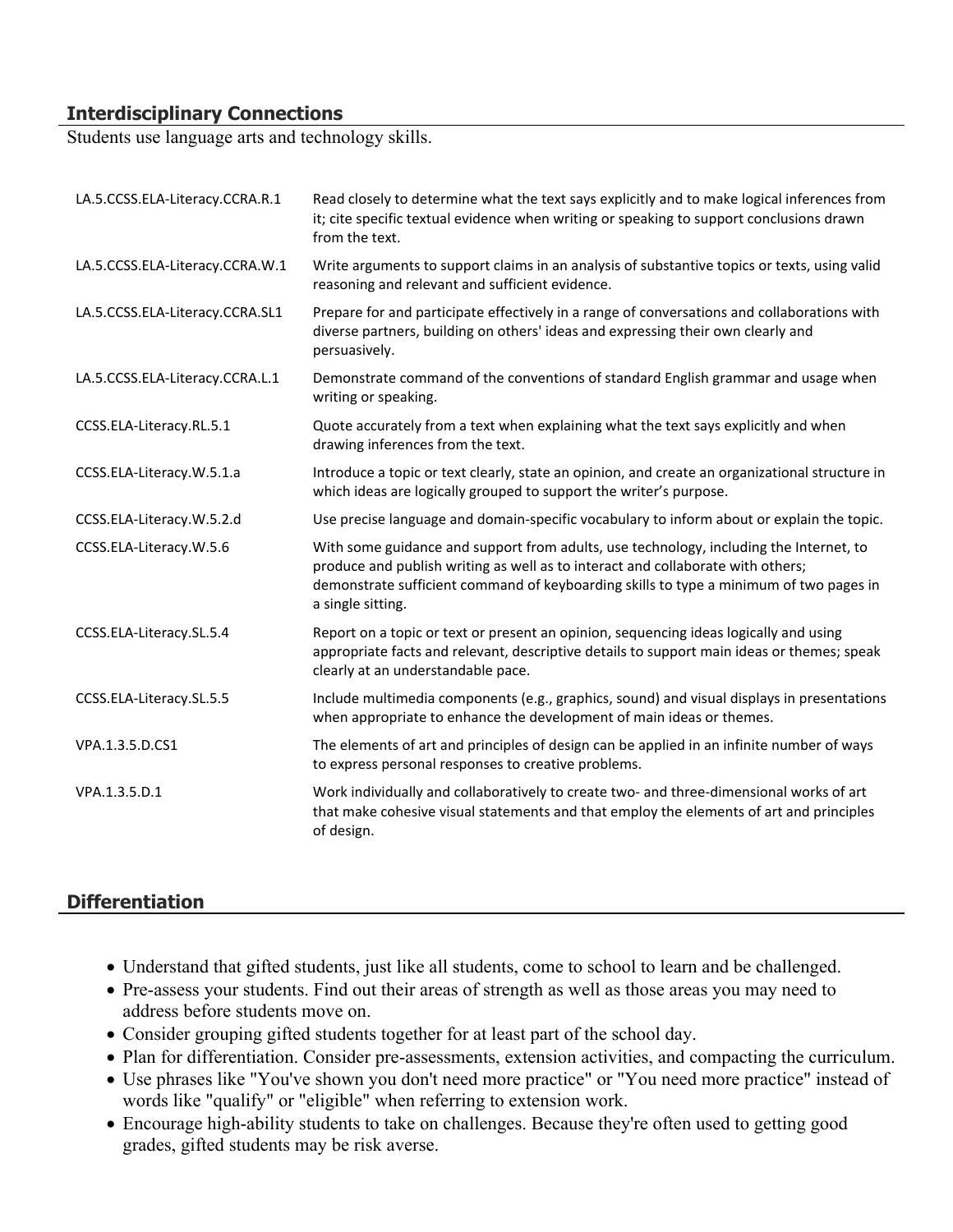## **Interdisciplinary Connections**

Students use language arts and technology skills.

| LA.5.CCSS.ELA-Literacy.CCRA.R.1 | Read closely to determine what the text says explicitly and to make logical inferences from<br>it; cite specific textual evidence when writing or speaking to support conclusions drawn<br>from the text.                                                                                |
|---------------------------------|------------------------------------------------------------------------------------------------------------------------------------------------------------------------------------------------------------------------------------------------------------------------------------------|
| LA.5.CCSS.ELA-Literacy.CCRA.W.1 | Write arguments to support claims in an analysis of substantive topics or texts, using valid<br>reasoning and relevant and sufficient evidence.                                                                                                                                          |
| LA.5.CCSS.ELA-Literacy.CCRA.SL1 | Prepare for and participate effectively in a range of conversations and collaborations with<br>diverse partners, building on others' ideas and expressing their own clearly and<br>persuasively.                                                                                         |
| LA.5.CCSS.ELA-Literacy.CCRA.L.1 | Demonstrate command of the conventions of standard English grammar and usage when<br>writing or speaking.                                                                                                                                                                                |
| CCSS.ELA-Literacy.RL.5.1        | Quote accurately from a text when explaining what the text says explicitly and when<br>drawing inferences from the text.                                                                                                                                                                 |
| CCSS.ELA-Literacy.W.5.1.a       | Introduce a topic or text clearly, state an opinion, and create an organizational structure in<br>which ideas are logically grouped to support the writer's purpose.                                                                                                                     |
| CCSS.ELA-Literacy.W.5.2.d       | Use precise language and domain-specific vocabulary to inform about or explain the topic.                                                                                                                                                                                                |
| CCSS.ELA-Literacy.W.5.6         | With some guidance and support from adults, use technology, including the Internet, to<br>produce and publish writing as well as to interact and collaborate with others;<br>demonstrate sufficient command of keyboarding skills to type a minimum of two pages in<br>a single sitting. |
| CCSS.ELA-Literacy.SL.5.4        | Report on a topic or text or present an opinion, sequencing ideas logically and using<br>appropriate facts and relevant, descriptive details to support main ideas or themes; speak<br>clearly at an understandable pace.                                                                |
| CCSS.ELA-Literacy.SL.5.5        | Include multimedia components (e.g., graphics, sound) and visual displays in presentations<br>when appropriate to enhance the development of main ideas or themes.                                                                                                                       |
| VPA.1.3.5.D.CS1                 | The elements of art and principles of design can be applied in an infinite number of ways<br>to express personal responses to creative problems.                                                                                                                                         |
| VPA.1.3.5.D.1                   | Work individually and collaboratively to create two- and three-dimensional works of art<br>that make cohesive visual statements and that employ the elements of art and principles<br>of design.                                                                                         |

## **Differentiation**

- Understand that gifted students, just like all students, come to school to learn and be challenged.
- Pre-assess your students. Find out their areas of strength as well as those areas you may need to address before students move on.
- Consider grouping gifted students together for at least part of the school day.
- Plan for differentiation. Consider pre-assessments, extension activities, and compacting the curriculum.
- Use phrases like "You've shown you don't need more practice" or "You need more practice" instead of words like "qualify" or "eligible" when referring to extension work.
- Encourage high-ability students to take on challenges. Because they're often used to getting good grades, gifted students may be risk averse.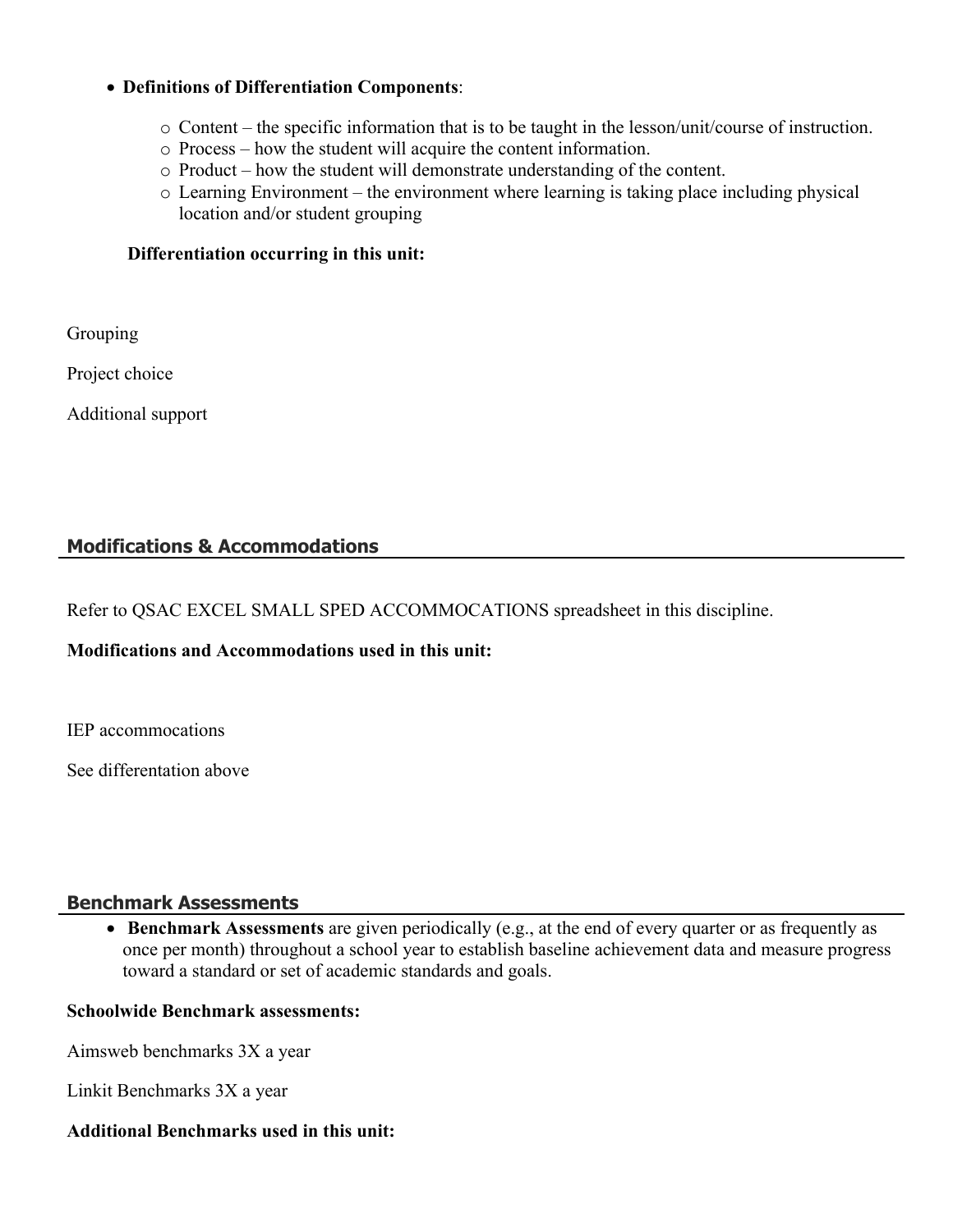#### **Definitions of Differentiation Components**:

- o Content the specific information that is to be taught in the lesson/unit/course of instruction.
- o Process how the student will acquire the content information.
- o Product how the student will demonstrate understanding of the content.
- o Learning Environment the environment where learning is taking place including physical location and/or student grouping

#### **Differentiation occurring in this unit:**

Grouping

Project choice

Additional support

## **Modifications & Accommodations**

Refer to QSAC EXCEL SMALL SPED ACCOMMOCATIONS spreadsheet in this discipline.

## **Modifications and Accommodations used in this unit:**

IEP accommocations

See differentation above

## **Benchmark Assessments**

 **Benchmark Assessments** are given periodically (e.g., at the end of every quarter or as frequently as once per month) throughout a school year to establish baseline achievement data and measure progress toward a standard or set of academic standards and goals.

## **Schoolwide Benchmark assessments:**

Aimsweb benchmarks 3X a year

Linkit Benchmarks 3X a year

## **Additional Benchmarks used in this unit:**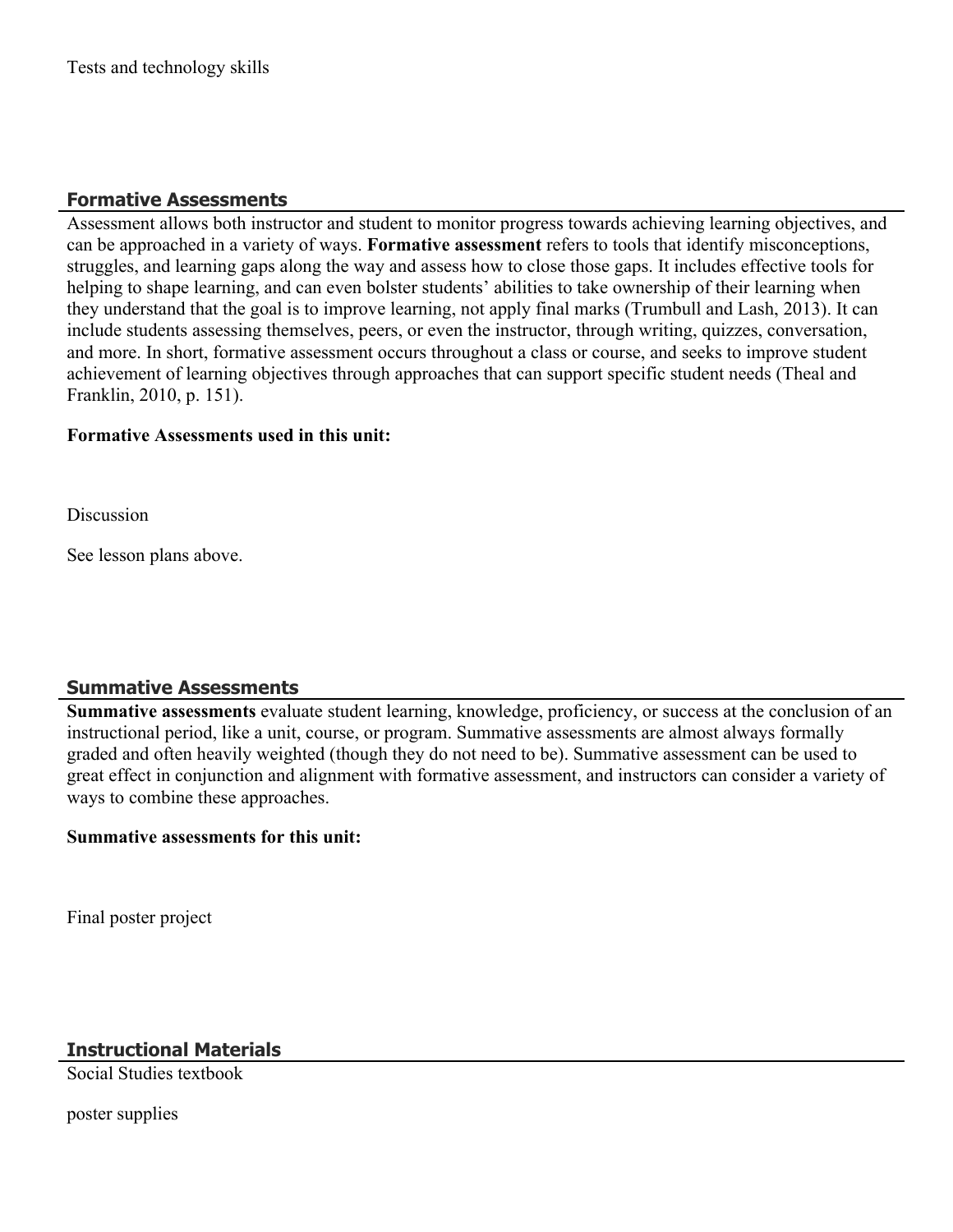## **Formative Assessments**

Assessment allows both instructor and student to monitor progress towards achieving learning objectives, and can be approached in a variety of ways. **Formative assessment** refers to tools that identify misconceptions, struggles, and learning gaps along the way and assess how to close those gaps. It includes effective tools for helping to shape learning, and can even bolster students' abilities to take ownership of their learning when they understand that the goal is to improve learning, not apply final marks (Trumbull and Lash, 2013). It can include students assessing themselves, peers, or even the instructor, through writing, quizzes, conversation, and more. In short, formative assessment occurs throughout a class or course, and seeks to improve student achievement of learning objectives through approaches that can support specific student needs (Theal and Franklin, 2010, p. 151).

## **Formative Assessments used in this unit:**

Discussion

See lesson plans above.

## **Summative Assessments**

**Summative assessments** evaluate student learning, knowledge, proficiency, or success at the conclusion of an instructional period, like a unit, course, or program. Summative assessments are almost always formally graded and often heavily weighted (though they do not need to be). Summative assessment can be used to great effect in conjunction and alignment with formative assessment, and instructors can consider a variety of ways to combine these approaches.

## **Summative assessments for this unit:**

Final poster project

# **Instructional Materials**

Social Studies textbook

poster supplies